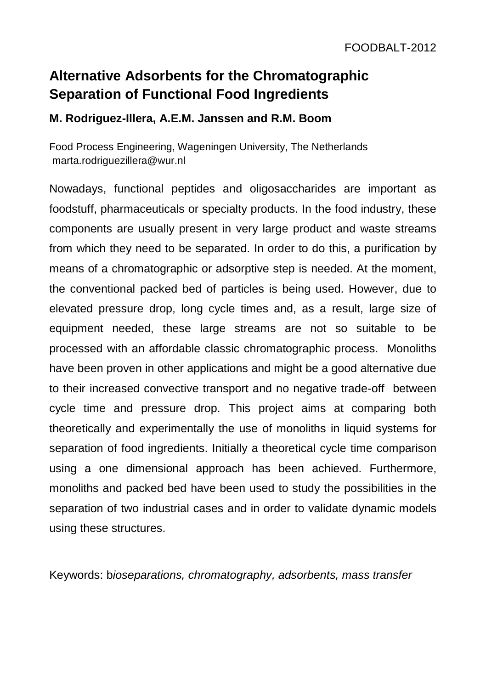## **Alternative Adsorbents for the Chromatographic Separation of Functional Food Ingredients**

## **M. Rodriguez-Illera, A.E.M. Janssen and R.M. Boom**

Food Process Engineering, Wageningen University, The Netherlands marta.rodriguezillera@wur.nl

Nowadays, functional peptides and oligosaccharides are important as foodstuff, pharmaceuticals or specialty products. In the food industry, these components are usually present in very large product and waste streams from which they need to be separated. In order to do this, a purification by means of a chromatographic or adsorptive step is needed. At the moment, the conventional packed bed of particles is being used. However, due to elevated pressure drop, long cycle times and, as a result, large size of equipment needed, these large streams are not so suitable to be processed with an affordable classic chromatographic process. Monoliths have been proven in other applications and might be a good alternative due to their increased convective transport and no negative trade-off between cycle time and pressure drop. This project aims at comparing both theoretically and experimentally the use of monoliths in liquid systems for separation of food ingredients. Initially a theoretical cycle time comparison using a one dimensional approach has been achieved. Furthermore, monoliths and packed bed have been used to study the possibilities in the separation of two industrial cases and in order to validate dynamic models using these structures.

Keywords: b*ioseparations, chromatography, adsorbents, mass transfer*